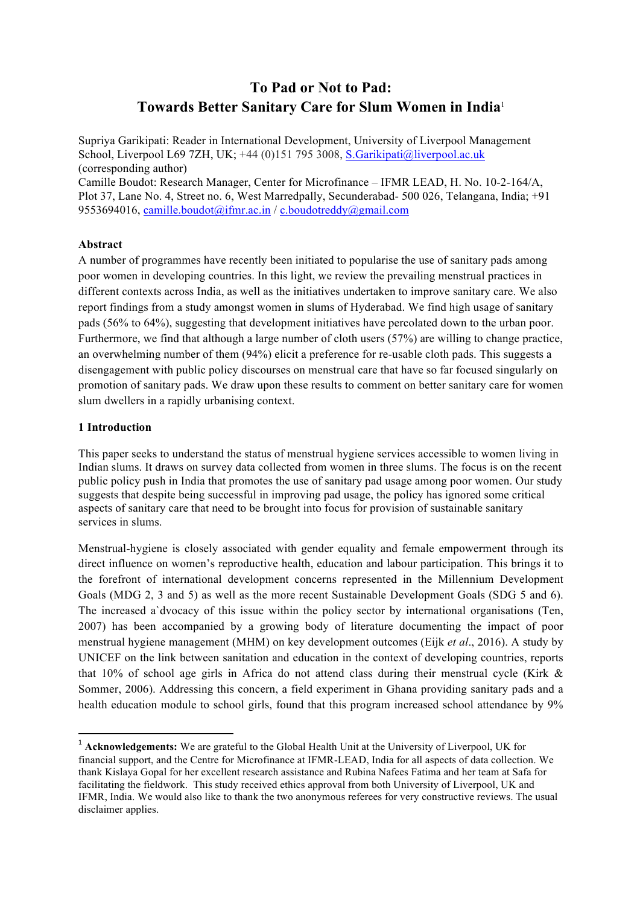# **To Pad or Not to Pad: Towards Better Sanitary Care for Slum Women in India**<sup>1</sup>

Supriya Garikipati: Reader in International Development, University of Liverpool Management School, Liverpool L69 7ZH, UK; +44 (0)151 795 3008, S.Garikipati@liverpool.ac.uk (corresponding author)

Camille Boudot: Research Manager, Center for Microfinance – IFMR LEAD, H. No. 10-2-164/A, Plot 37, Lane No. 4, Street no. 6, West Marredpally, Secunderabad- 500 026, Telangana, India; +91 9553694016, camille.boudot@ifmr.ac.in / c.boudotreddy@gmail.com

# **Abstract**

A number of programmes have recently been initiated to popularise the use of sanitary pads among poor women in developing countries. In this light, we review the prevailing menstrual practices in different contexts across India, as well as the initiatives undertaken to improve sanitary care. We also report findings from a study amongst women in slums of Hyderabad. We find high usage of sanitary pads (56% to 64%), suggesting that development initiatives have percolated down to the urban poor. Furthermore, we find that although a large number of cloth users (57%) are willing to change practice, an overwhelming number of them (94%) elicit a preference for re-usable cloth pads. This suggests a disengagement with public policy discourses on menstrual care that have so far focused singularly on promotion of sanitary pads. We draw upon these results to comment on better sanitary care for women slum dwellers in a rapidly urbanising context.

# **1 Introduction**

<u> 1989 - Jan Samuel Barbara, margaret e</u>

This paper seeks to understand the status of menstrual hygiene services accessible to women living in Indian slums. It draws on survey data collected from women in three slums. The focus is on the recent public policy push in India that promotes the use of sanitary pad usage among poor women. Our study suggests that despite being successful in improving pad usage, the policy has ignored some critical aspects of sanitary care that need to be brought into focus for provision of sustainable sanitary services in slums.

Menstrual-hygiene is closely associated with gender equality and female empowerment through its direct influence on women's reproductive health, education and labour participation. This brings it to the forefront of international development concerns represented in the Millennium Development Goals (MDG 2, 3 and 5) as well as the more recent Sustainable Development Goals (SDG 5 and 6). The increased a`dvocacy of this issue within the policy sector by international organisations (Ten, 2007) has been accompanied by a growing body of literature documenting the impact of poor menstrual hygiene management (MHM) on key development outcomes (Eijk *et al*., 2016). A study by UNICEF on the link between sanitation and education in the context of developing countries, reports that 10% of school age girls in Africa do not attend class during their menstrual cycle (Kirk & Sommer, 2006). Addressing this concern, a field experiment in Ghana providing sanitary pads and a health education module to school girls, found that this program increased school attendance by 9%

<sup>1</sup> **Acknowledgements:** We are grateful to the Global Health Unit at the University of Liverpool, UK for financial support, and the Centre for Microfinance at IFMR-LEAD, India for all aspects of data collection. We thank Kislaya Gopal for her excellent research assistance and Rubina Nafees Fatima and her team at Safa for facilitating the fieldwork. This study received ethics approval from both University of Liverpool, UK and IFMR, India. We would also like to thank the two anonymous referees for very constructive reviews. The usual disclaimer applies.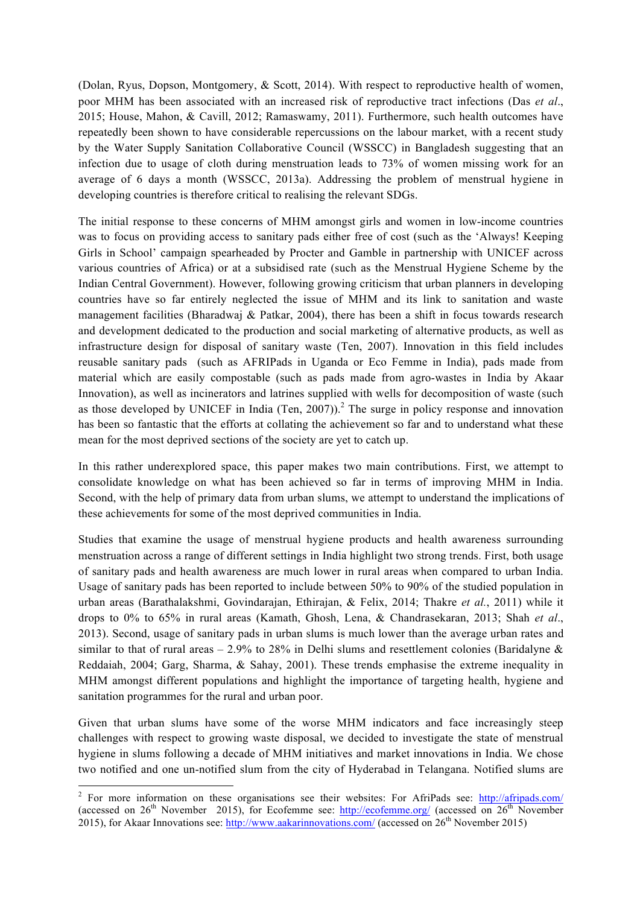(Dolan, Ryus, Dopson, Montgomery, & Scott, 2014). With respect to reproductive health of women, poor MHM has been associated with an increased risk of reproductive tract infections (Das *et al*., 2015; House, Mahon, & Cavill, 2012; Ramaswamy, 2011). Furthermore, such health outcomes have repeatedly been shown to have considerable repercussions on the labour market, with a recent study by the Water Supply Sanitation Collaborative Council (WSSCC) in Bangladesh suggesting that an infection due to usage of cloth during menstruation leads to 73% of women missing work for an average of 6 days a month (WSSCC, 2013a). Addressing the problem of menstrual hygiene in developing countries is therefore critical to realising the relevant SDGs.

The initial response to these concerns of MHM amongst girls and women in low-income countries was to focus on providing access to sanitary pads either free of cost (such as the 'Always! Keeping Girls in School' campaign spearheaded by Procter and Gamble in partnership with UNICEF across various countries of Africa) or at a subsidised rate (such as the Menstrual Hygiene Scheme by the Indian Central Government). However, following growing criticism that urban planners in developing countries have so far entirely neglected the issue of MHM and its link to sanitation and waste management facilities (Bharadwaj & Patkar, 2004), there has been a shift in focus towards research and development dedicated to the production and social marketing of alternative products, as well as infrastructure design for disposal of sanitary waste (Ten, 2007). Innovation in this field includes reusable sanitary pads (such as AFRIPads in Uganda or Eco Femme in India), pads made from material which are easily compostable (such as pads made from agro-wastes in India by Akaar Innovation), as well as incinerators and latrines supplied with wells for decomposition of waste (such as those developed by UNICEF in India (Ten, 2007)).<sup>2</sup> The surge in policy response and innovation has been so fantastic that the efforts at collating the achievement so far and to understand what these mean for the most deprived sections of the society are yet to catch up.

In this rather underexplored space, this paper makes two main contributions. First, we attempt to consolidate knowledge on what has been achieved so far in terms of improving MHM in India. Second, with the help of primary data from urban slums, we attempt to understand the implications of these achievements for some of the most deprived communities in India.

Studies that examine the usage of menstrual hygiene products and health awareness surrounding menstruation across a range of different settings in India highlight two strong trends. First, both usage of sanitary pads and health awareness are much lower in rural areas when compared to urban India. Usage of sanitary pads has been reported to include between 50% to 90% of the studied population in urban areas (Barathalakshmi, Govindarajan, Ethirajan, & Felix, 2014; Thakre *et al.*, 2011) while it drops to 0% to 65% in rural areas (Kamath, Ghosh, Lena, & Chandrasekaran, 2013; Shah *et al*., 2013). Second, usage of sanitary pads in urban slums is much lower than the average urban rates and similar to that of rural areas  $-2.9\%$  to 28% in Delhi slums and resettlement colonies (Baridalyne & Reddaiah, 2004; Garg, Sharma, & Sahay, 2001). These trends emphasise the extreme inequality in MHM amongst different populations and highlight the importance of targeting health, hygiene and sanitation programmes for the rural and urban poor.

Given that urban slums have some of the worse MHM indicators and face increasingly steep challenges with respect to growing waste disposal, we decided to investigate the state of menstrual hygiene in slums following a decade of MHM initiatives and market innovations in India. We chose two notified and one un-notified slum from the city of Hyderabad in Telangana. Notified slums are

<u> 1989 - Jan Samuel Barbara, margaret e</u>

<sup>&</sup>lt;sup>2</sup> For more information on these organisations see their websites: For AfriPads see:  $\frac{http://afripads.com/}{http://afripads.com/}$ (accessed on  $26<sup>th</sup>$  November 2015), for Ecofemme see: http://ecofemme.org/ (accessed on  $26<sup>th</sup>$  November 2015), for Akaar Innovations see: http://www.aakarinnovations.com/ (accessed on 26<sup>th</sup> November 2015)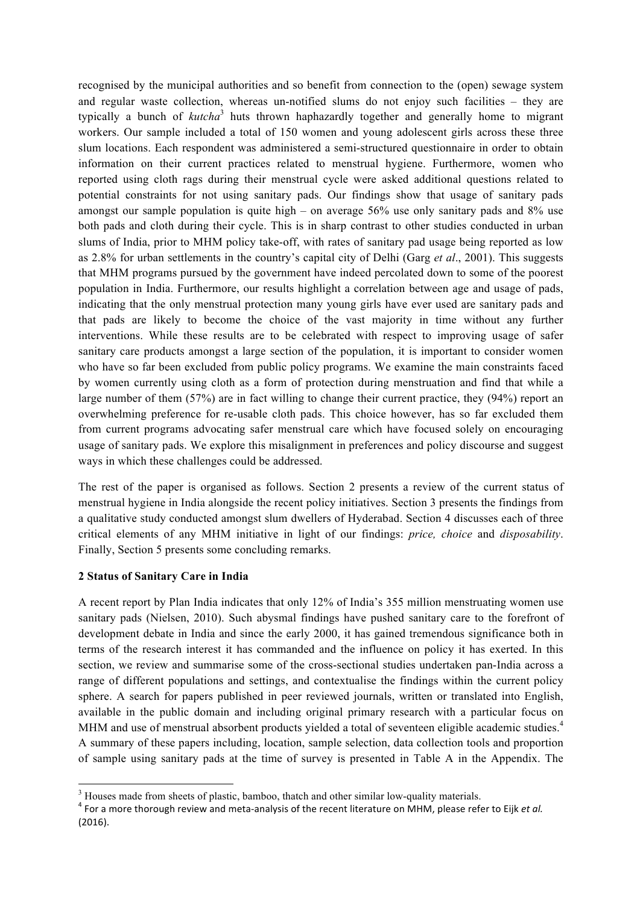recognised by the municipal authorities and so benefit from connection to the (open) sewage system and regular waste collection, whereas un-notified slums do not enjoy such facilities – they are typically a bunch of *kutcha*<sup>3</sup> huts thrown haphazardly together and generally home to migrant workers. Our sample included a total of 150 women and young adolescent girls across these three slum locations. Each respondent was administered a semi-structured questionnaire in order to obtain information on their current practices related to menstrual hygiene. Furthermore, women who reported using cloth rags during their menstrual cycle were asked additional questions related to potential constraints for not using sanitary pads. Our findings show that usage of sanitary pads amongst our sample population is quite high – on average 56% use only sanitary pads and 8% use both pads and cloth during their cycle. This is in sharp contrast to other studies conducted in urban slums of India, prior to MHM policy take-off, with rates of sanitary pad usage being reported as low as 2.8% for urban settlements in the country's capital city of Delhi (Garg *et al*., 2001). This suggests that MHM programs pursued by the government have indeed percolated down to some of the poorest population in India. Furthermore, our results highlight a correlation between age and usage of pads, indicating that the only menstrual protection many young girls have ever used are sanitary pads and that pads are likely to become the choice of the vast majority in time without any further interventions. While these results are to be celebrated with respect to improving usage of safer sanitary care products amongst a large section of the population, it is important to consider women who have so far been excluded from public policy programs. We examine the main constraints faced by women currently using cloth as a form of protection during menstruation and find that while a large number of them (57%) are in fact willing to change their current practice, they (94%) report an overwhelming preference for re-usable cloth pads. This choice however, has so far excluded them from current programs advocating safer menstrual care which have focused solely on encouraging usage of sanitary pads. We explore this misalignment in preferences and policy discourse and suggest ways in which these challenges could be addressed.

The rest of the paper is organised as follows. Section 2 presents a review of the current status of menstrual hygiene in India alongside the recent policy initiatives. Section 3 presents the findings from a qualitative study conducted amongst slum dwellers of Hyderabad. Section 4 discusses each of three critical elements of any MHM initiative in light of our findings: *price, choice* and *disposability*. Finally, Section 5 presents some concluding remarks.

# **2 Status of Sanitary Care in India**

A recent report by Plan India indicates that only 12% of India's 355 million menstruating women use sanitary pads (Nielsen, 2010). Such abysmal findings have pushed sanitary care to the forefront of development debate in India and since the early 2000, it has gained tremendous significance both in terms of the research interest it has commanded and the influence on policy it has exerted. In this section, we review and summarise some of the cross-sectional studies undertaken pan-India across a range of different populations and settings, and contextualise the findings within the current policy sphere. A search for papers published in peer reviewed journals, written or translated into English, available in the public domain and including original primary research with a particular focus on MHM and use of menstrual absorbent products yielded a total of seventeen eligible academic studies.<sup>4</sup> A summary of these papers including, location, sample selection, data collection tools and proportion of sample using sanitary pads at the time of survey is presented in Table A in the Appendix. The

<sup>&</sup>lt;sup>3</sup> Houses made from sheets of plastic, bamboo, thatch and other similar low-quality materials.

<sup>&</sup>lt;sup>4</sup> For a more thorough review and meta-analysis of the recent literature on MHM, please refer to Eijk et al. (2016).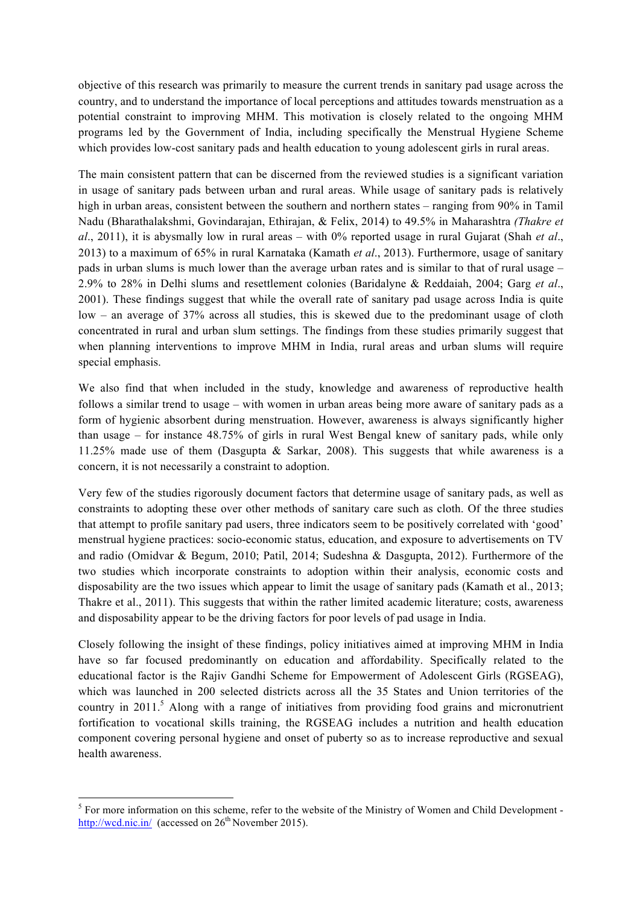objective of this research was primarily to measure the current trends in sanitary pad usage across the country, and to understand the importance of local perceptions and attitudes towards menstruation as a potential constraint to improving MHM. This motivation is closely related to the ongoing MHM programs led by the Government of India, including specifically the Menstrual Hygiene Scheme which provides low-cost sanitary pads and health education to young adolescent girls in rural areas.

The main consistent pattern that can be discerned from the reviewed studies is a significant variation in usage of sanitary pads between urban and rural areas. While usage of sanitary pads is relatively high in urban areas, consistent between the southern and northern states – ranging from 90% in Tamil Nadu (Bharathalakshmi, Govindarajan, Ethirajan, & Felix, 2014) to 49.5% in Maharashtra *(Thakre et al*., 2011), it is abysmally low in rural areas – with 0% reported usage in rural Gujarat (Shah *et al*., 2013) to a maximum of 65% in rural Karnataka (Kamath *et al*., 2013). Furthermore, usage of sanitary pads in urban slums is much lower than the average urban rates and is similar to that of rural usage – 2.9% to 28% in Delhi slums and resettlement colonies (Baridalyne & Reddaiah, 2004; Garg *et al*., 2001). These findings suggest that while the overall rate of sanitary pad usage across India is quite low – an average of 37% across all studies, this is skewed due to the predominant usage of cloth concentrated in rural and urban slum settings. The findings from these studies primarily suggest that when planning interventions to improve MHM in India, rural areas and urban slums will require special emphasis.

We also find that when included in the study, knowledge and awareness of reproductive health follows a similar trend to usage – with women in urban areas being more aware of sanitary pads as a form of hygienic absorbent during menstruation. However, awareness is always significantly higher than usage – for instance 48.75% of girls in rural West Bengal knew of sanitary pads, while only 11.25% made use of them (Dasgupta & Sarkar, 2008). This suggests that while awareness is a concern, it is not necessarily a constraint to adoption.

Very few of the studies rigorously document factors that determine usage of sanitary pads, as well as constraints to adopting these over other methods of sanitary care such as cloth. Of the three studies that attempt to profile sanitary pad users, three indicators seem to be positively correlated with 'good' menstrual hygiene practices: socio-economic status, education, and exposure to advertisements on TV and radio (Omidvar & Begum, 2010; Patil, 2014; Sudeshna & Dasgupta, 2012). Furthermore of the two studies which incorporate constraints to adoption within their analysis, economic costs and disposability are the two issues which appear to limit the usage of sanitary pads (Kamath et al., 2013; Thakre et al., 2011). This suggests that within the rather limited academic literature; costs, awareness and disposability appear to be the driving factors for poor levels of pad usage in India.

Closely following the insight of these findings, policy initiatives aimed at improving MHM in India have so far focused predominantly on education and affordability. Specifically related to the educational factor is the Rajiv Gandhi Scheme for Empowerment of Adolescent Girls (RGSEAG), which was launched in 200 selected districts across all the 35 States and Union territories of the country in 2011.<sup>5</sup> Along with a range of initiatives from providing food grains and micronutrient fortification to vocational skills training, the RGSEAG includes a nutrition and health education component covering personal hygiene and onset of puberty so as to increase reproductive and sexual health awareness.

<u> 1989 - Jan Samuel Barbara, margaret e</u>

<sup>&</sup>lt;sup>5</sup> For more information on this scheme, refer to the website of the Ministry of Women and Child Development http://wcd.nic.in/ (accessed on  $26<sup>th</sup>$  November 2015).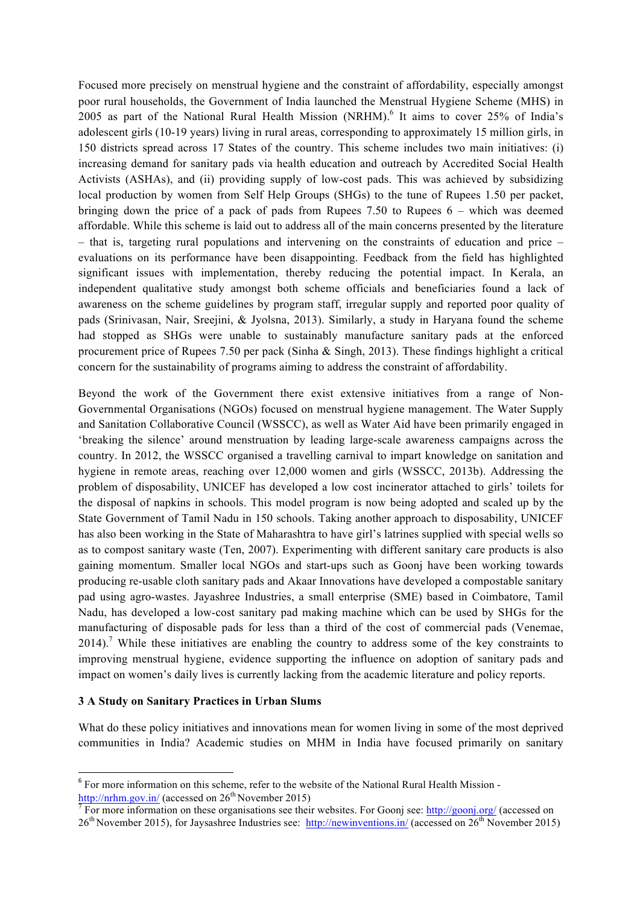Focused more precisely on menstrual hygiene and the constraint of affordability, especially amongst poor rural households, the Government of India launched the Menstrual Hygiene Scheme (MHS) in 2005 as part of the National Rural Health Mission (NRHM).<sup>6</sup> It aims to cover 25% of India's adolescent girls (10-19 years) living in rural areas, corresponding to approximately 15 million girls, in 150 districts spread across 17 States of the country. This scheme includes two main initiatives: (i) increasing demand for sanitary pads via health education and outreach by Accredited Social Health Activists (ASHAs), and (ii) providing supply of low-cost pads. This was achieved by subsidizing local production by women from Self Help Groups (SHGs) to the tune of Rupees 1.50 per packet, bringing down the price of a pack of pads from Rupees 7.50 to Rupees 6 – which was deemed affordable. While this scheme is laid out to address all of the main concerns presented by the literature  $-$  that is, targeting rural populations and intervening on the constraints of education and price  $$ evaluations on its performance have been disappointing. Feedback from the field has highlighted significant issues with implementation, thereby reducing the potential impact. In Kerala, an independent qualitative study amongst both scheme officials and beneficiaries found a lack of awareness on the scheme guidelines by program staff, irregular supply and reported poor quality of pads (Srinivasan, Nair, Sreejini, & Jyolsna, 2013). Similarly, a study in Haryana found the scheme had stopped as SHGs were unable to sustainably manufacture sanitary pads at the enforced procurement price of Rupees 7.50 per pack (Sinha & Singh, 2013). These findings highlight a critical concern for the sustainability of programs aiming to address the constraint of affordability.

Beyond the work of the Government there exist extensive initiatives from a range of Non-Governmental Organisations (NGOs) focused on menstrual hygiene management. The Water Supply and Sanitation Collaborative Council (WSSCC), as well as Water Aid have been primarily engaged in 'breaking the silence' around menstruation by leading large-scale awareness campaigns across the country. In 2012, the WSSCC organised a travelling carnival to impart knowledge on sanitation and hygiene in remote areas, reaching over 12,000 women and girls (WSSCC, 2013b). Addressing the problem of disposability, UNICEF has developed a low cost incinerator attached to girls' toilets for the disposal of napkins in schools. This model program is now being adopted and scaled up by the State Government of Tamil Nadu in 150 schools. Taking another approach to disposability, UNICEF has also been working in the State of Maharashtra to have girl's latrines supplied with special wells so as to compost sanitary waste (Ten, 2007). Experimenting with different sanitary care products is also gaining momentum. Smaller local NGOs and start-ups such as Goonj have been working towards producing re-usable cloth sanitary pads and Akaar Innovations have developed a compostable sanitary pad using agro-wastes. Jayashree Industries, a small enterprise (SME) based in Coimbatore, Tamil Nadu, has developed a low-cost sanitary pad making machine which can be used by SHGs for the manufacturing of disposable pads for less than a third of the cost of commercial pads (Venemae,  $2014$ ).<sup>7</sup> While these initiatives are enabling the country to address some of the key constraints to improving menstrual hygiene, evidence supporting the influence on adoption of sanitary pads and impact on women's daily lives is currently lacking from the academic literature and policy reports.

# **3 A Study on Sanitary Practices in Urban Slums**

<u> 1989 - Johann Stein, fransk politiker (d. 1989)</u>

What do these policy initiatives and innovations mean for women living in some of the most deprived communities in India? Academic studies on MHM in India have focused primarily on sanitary

 $6$  For more information on this scheme, refer to the website of the National Rural Health Mission - $\frac{\text{http://nrhm.gov.in/}}{7}$  For more information on these organisations see their websites. For Goonj see: http://goonj.org/ (accessed on

<sup>26&</sup>lt;sup>th</sup> November 2015), for Jaysashree Industries see: http://newinventions.in/ (accessed on 26<sup>th</sup> November 2015)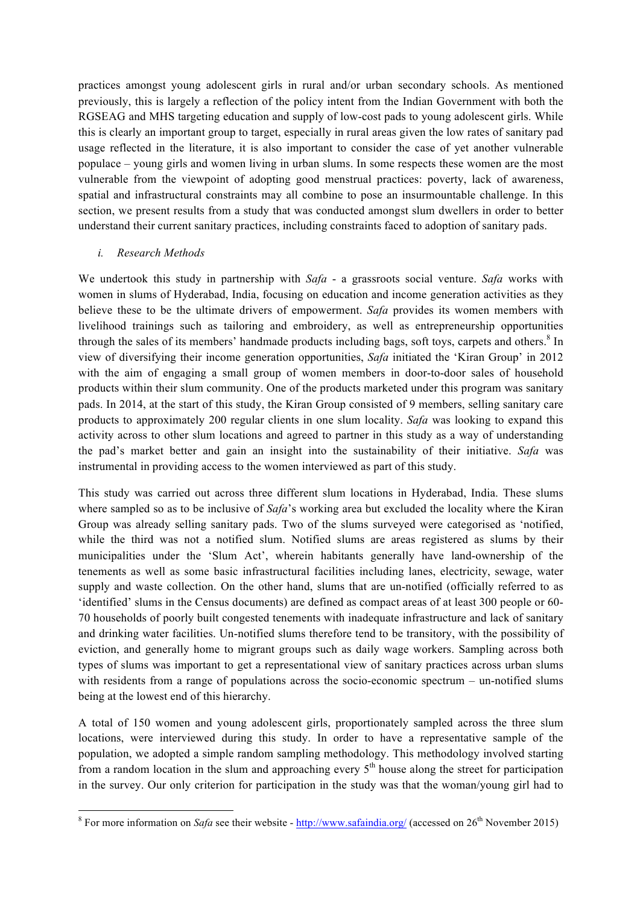practices amongst young adolescent girls in rural and/or urban secondary schools. As mentioned previously, this is largely a reflection of the policy intent from the Indian Government with both the RGSEAG and MHS targeting education and supply of low-cost pads to young adolescent girls. While this is clearly an important group to target, especially in rural areas given the low rates of sanitary pad usage reflected in the literature, it is also important to consider the case of yet another vulnerable populace – young girls and women living in urban slums. In some respects these women are the most vulnerable from the viewpoint of adopting good menstrual practices: poverty, lack of awareness, spatial and infrastructural constraints may all combine to pose an insurmountable challenge. In this section, we present results from a study that was conducted amongst slum dwellers in order to better understand their current sanitary practices, including constraints faced to adoption of sanitary pads.

## *i. Research Methods*

 

We undertook this study in partnership with *Safa* - a grassroots social venture. *Safa* works with women in slums of Hyderabad, India, focusing on education and income generation activities as they believe these to be the ultimate drivers of empowerment. *Safa* provides its women members with livelihood trainings such as tailoring and embroidery, as well as entrepreneurship opportunities through the sales of its members' handmade products including bags, soft toys, carpets and others.<sup>8</sup> In view of diversifying their income generation opportunities, *Safa* initiated the 'Kiran Group' in 2012 with the aim of engaging a small group of women members in door-to-door sales of household products within their slum community. One of the products marketed under this program was sanitary pads. In 2014, at the start of this study, the Kiran Group consisted of 9 members, selling sanitary care products to approximately 200 regular clients in one slum locality. *Safa* was looking to expand this activity across to other slum locations and agreed to partner in this study as a way of understanding the pad's market better and gain an insight into the sustainability of their initiative. *Safa* was instrumental in providing access to the women interviewed as part of this study.

This study was carried out across three different slum locations in Hyderabad, India. These slums where sampled so as to be inclusive of *Safa*'s working area but excluded the locality where the Kiran Group was already selling sanitary pads. Two of the slums surveyed were categorised as 'notified, while the third was not a notified slum. Notified slums are areas registered as slums by their municipalities under the 'Slum Act', wherein habitants generally have land-ownership of the tenements as well as some basic infrastructural facilities including lanes, electricity, sewage, water supply and waste collection. On the other hand, slums that are un-notified (officially referred to as 'identified' slums in the Census documents) are defined as compact areas of at least 300 people or 60- 70 households of poorly built congested tenements with inadequate infrastructure and lack of sanitary and drinking water facilities. Un-notified slums therefore tend to be transitory, with the possibility of eviction, and generally home to migrant groups such as daily wage workers. Sampling across both types of slums was important to get a representational view of sanitary practices across urban slums with residents from a range of populations across the socio-economic spectrum – un-notified slums being at the lowest end of this hierarchy.

A total of 150 women and young adolescent girls, proportionately sampled across the three slum locations, were interviewed during this study. In order to have a representative sample of the population, we adopted a simple random sampling methodology. This methodology involved starting from a random location in the slum and approaching every  $5<sup>th</sup>$  house along the street for participation in the survey. Our only criterion for participation in the study was that the woman/young girl had to

<sup>&</sup>lt;sup>8</sup> For more information on *Safa* see their website - http://www.safaindia.org/ (accessed on  $26<sup>th</sup>$  November 2015)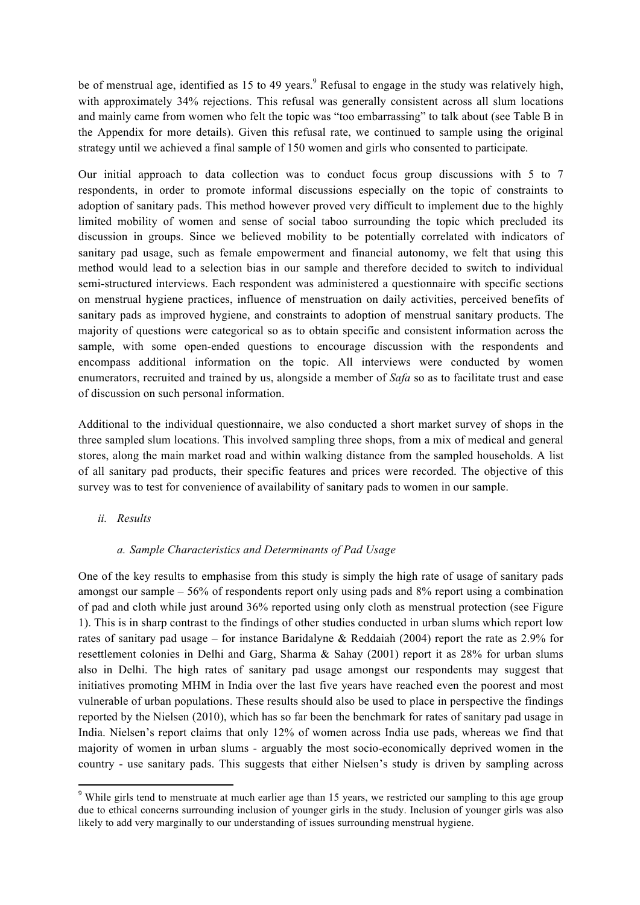be of menstrual age, identified as 15 to 49 years.<sup>9</sup> Refusal to engage in the study was relatively high, with approximately 34% rejections. This refusal was generally consistent across all slum locations and mainly came from women who felt the topic was "too embarrassing" to talk about (see Table B in the Appendix for more details). Given this refusal rate, we continued to sample using the original strategy until we achieved a final sample of 150 women and girls who consented to participate.

Our initial approach to data collection was to conduct focus group discussions with 5 to 7 respondents, in order to promote informal discussions especially on the topic of constraints to adoption of sanitary pads. This method however proved very difficult to implement due to the highly limited mobility of women and sense of social taboo surrounding the topic which precluded its discussion in groups. Since we believed mobility to be potentially correlated with indicators of sanitary pad usage, such as female empowerment and financial autonomy, we felt that using this method would lead to a selection bias in our sample and therefore decided to switch to individual semi-structured interviews. Each respondent was administered a questionnaire with specific sections on menstrual hygiene practices, influence of menstruation on daily activities, perceived benefits of sanitary pads as improved hygiene, and constraints to adoption of menstrual sanitary products. The majority of questions were categorical so as to obtain specific and consistent information across the sample, with some open-ended questions to encourage discussion with the respondents and encompass additional information on the topic. All interviews were conducted by women enumerators, recruited and trained by us, alongside a member of *Safa* so as to facilitate trust and ease of discussion on such personal information.

Additional to the individual questionnaire, we also conducted a short market survey of shops in the three sampled slum locations. This involved sampling three shops, from a mix of medical and general stores, along the main market road and within walking distance from the sampled households. A list of all sanitary pad products, their specific features and prices were recorded. The objective of this survey was to test for convenience of availability of sanitary pads to women in our sample.

*ii. Results*

<u> 1989 - Johann Stein, fransk politiker (d. 1989)</u>

# *a. Sample Characteristics and Determinants of Pad Usage*

One of the key results to emphasise from this study is simply the high rate of usage of sanitary pads amongst our sample – 56% of respondents report only using pads and 8% report using a combination of pad and cloth while just around 36% reported using only cloth as menstrual protection (see Figure 1). This is in sharp contrast to the findings of other studies conducted in urban slums which report low rates of sanitary pad usage – for instance Baridalyne & Reddaiah (2004) report the rate as 2.9% for resettlement colonies in Delhi and Garg, Sharma & Sahay (2001) report it as 28% for urban slums also in Delhi. The high rates of sanitary pad usage amongst our respondents may suggest that initiatives promoting MHM in India over the last five years have reached even the poorest and most vulnerable of urban populations. These results should also be used to place in perspective the findings reported by the Nielsen (2010), which has so far been the benchmark for rates of sanitary pad usage in India. Nielsen's report claims that only 12% of women across India use pads, whereas we find that majority of women in urban slums - arguably the most socio-economically deprived women in the country - use sanitary pads. This suggests that either Nielsen's study is driven by sampling across

<sup>&</sup>lt;sup>9</sup> While girls tend to menstruate at much earlier age than 15 years, we restricted our sampling to this age group due to ethical concerns surrounding inclusion of younger girls in the study. Inclusion of younger girls was also likely to add very marginally to our understanding of issues surrounding menstrual hygiene.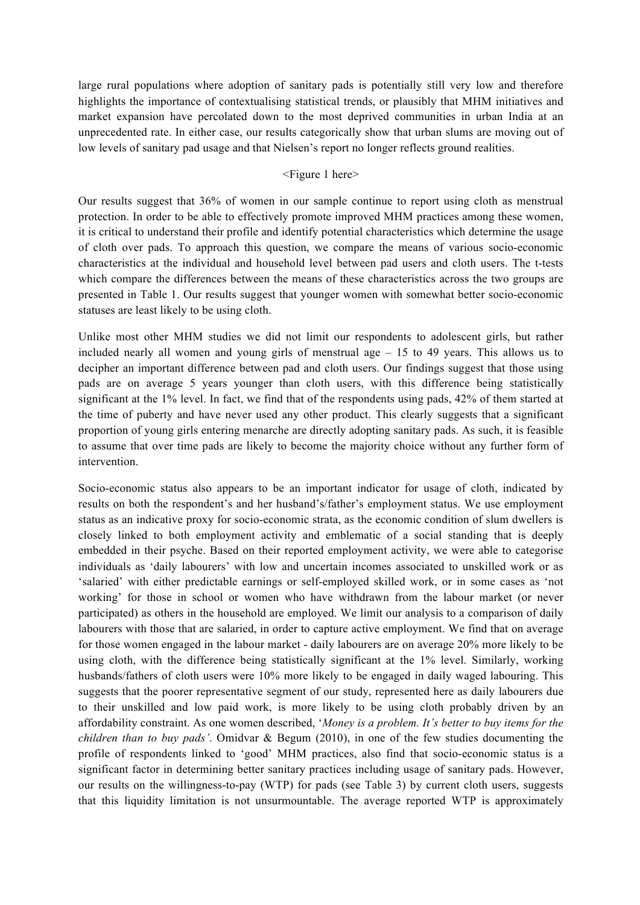large rural populations where adoption of sanitary pads is potentially still very low and therefore highlights the importance of contextualising statistical trends, or plausibly that MHM initiatives and market expansion have percolated down to the most deprived communities in urban India at an unprecedented rate. In either case, our results categorically show that urban slums are moving out of low levels of sanitary pad usage and that Nielsen's report no longer reflects ground realities.

#### <Figure 1 here>

Our results suggest that 36% of women in our sample continue to report using cloth as menstrual protection. In order to be able to effectively promote improved MHM practices among these women, it is critical to understand their profile and identify potential characteristics which determine the usage of cloth over pads. To approach this question, we compare the means of various socio-economic characteristics at the individual and household level between pad users and cloth users. The t-tests which compare the differences between the means of these characteristics across the two groups are presented in Table 1. Our results suggest that younger women with somewhat better socio-economic statuses are least likely to be using cloth.

Unlike most other MHM studies we did not limit our respondents to adolescent girls, but rather included nearly all women and young girls of menstrual age  $-15$  to 49 years. This allows us to decipher an important difference between pad and cloth users. Our findings suggest that those using pads are on average 5 years younger than cloth users, with this difference being statistically significant at the 1% level. In fact, we find that of the respondents using pads, 42% of them started at the time of puberty and have never used any other product. This clearly suggests that a significant proportion of young girls entering menarche are directly adopting sanitary pads. As such, it is feasible to assume that over time pads are likely to become the majority choice without any further form of intervention.

Socio-economic status also appears to be an important indicator for usage of cloth, indicated by results on both the respondent's and her husband's/father's employment status. We use employment status as an indicative proxy for socio-economic strata, as the economic condition of slum dwellers is closely linked to both employment activity and emblematic of a social standing that is deeply embedded in their psyche. Based on their reported employment activity, we were able to categorise individuals as 'daily labourers' with low and uncertain incomes associated to unskilled work or as 'salaried' with either predictable earnings or self-employed skilled work, or in some cases as 'not working' for those in school or women who have withdrawn from the labour market (or never participated) as others in the household are employed. We limit our analysis to a comparison of daily labourers with those that are salaried, in order to capture active employment. We find that on average for those women engaged in the labour market - daily labourers are on average 20% more likely to be using cloth, with the difference being statistically significant at the 1% level. Similarly, working husbands/fathers of cloth users were 10% more likely to be engaged in daily waged labouring. This suggests that the poorer representative segment of our study, represented here as daily labourers due to their unskilled and low paid work, is more likely to be using cloth probably driven by an affordability constraint. As one women described, '*Money is a problem. It's better to buy items for the children than to buy pads'*. Omidvar & Begum (2010), in one of the few studies documenting the profile of respondents linked to 'good' MHM practices, also find that socio-economic status is a significant factor in determining better sanitary practices including usage of sanitary pads. However, our results on the willingness-to-pay (WTP) for pads (see Table 3) by current cloth users, suggests that this liquidity limitation is not unsurmountable. The average reported WTP is approximately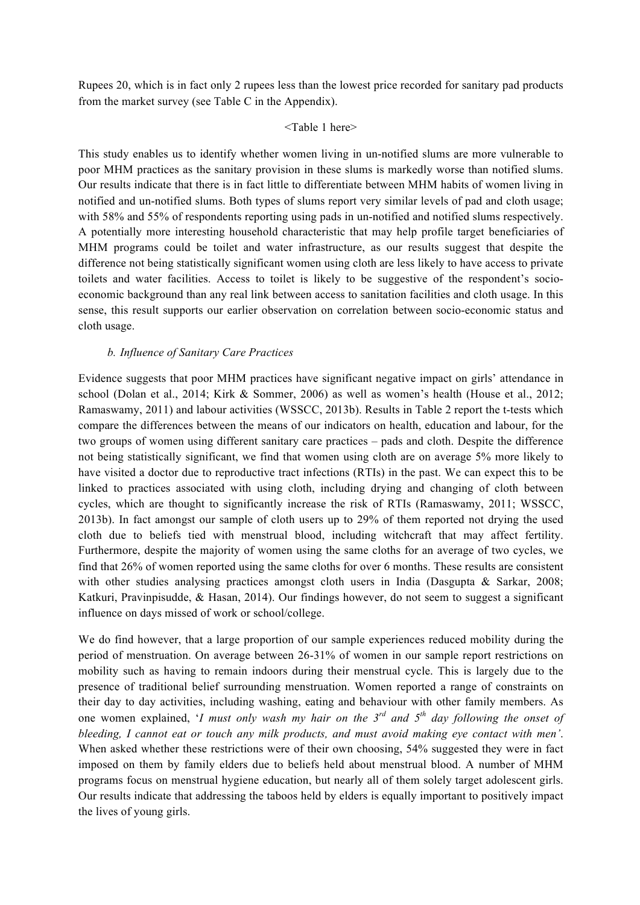Rupees 20, which is in fact only 2 rupees less than the lowest price recorded for sanitary pad products from the market survey (see Table C in the Appendix).

#### <Table 1 here>

This study enables us to identify whether women living in un-notified slums are more vulnerable to poor MHM practices as the sanitary provision in these slums is markedly worse than notified slums. Our results indicate that there is in fact little to differentiate between MHM habits of women living in notified and un-notified slums. Both types of slums report very similar levels of pad and cloth usage; with 58% and 55% of respondents reporting using pads in un-notified and notified slums respectively. A potentially more interesting household characteristic that may help profile target beneficiaries of MHM programs could be toilet and water infrastructure, as our results suggest that despite the difference not being statistically significant women using cloth are less likely to have access to private toilets and water facilities. Access to toilet is likely to be suggestive of the respondent's socioeconomic background than any real link between access to sanitation facilities and cloth usage. In this sense, this result supports our earlier observation on correlation between socio-economic status and cloth usage.

## *b. Influence of Sanitary Care Practices*

Evidence suggests that poor MHM practices have significant negative impact on girls' attendance in school (Dolan et al., 2014; Kirk & Sommer, 2006) as well as women's health (House et al., 2012; Ramaswamy, 2011) and labour activities (WSSCC, 2013b). Results in Table 2 report the t-tests which compare the differences between the means of our indicators on health, education and labour, for the two groups of women using different sanitary care practices – pads and cloth. Despite the difference not being statistically significant, we find that women using cloth are on average 5% more likely to have visited a doctor due to reproductive tract infections (RTIs) in the past. We can expect this to be linked to practices associated with using cloth, including drying and changing of cloth between cycles, which are thought to significantly increase the risk of RTIs (Ramaswamy, 2011; WSSCC, 2013b). In fact amongst our sample of cloth users up to 29% of them reported not drying the used cloth due to beliefs tied with menstrual blood, including witchcraft that may affect fertility. Furthermore, despite the majority of women using the same cloths for an average of two cycles, we find that 26% of women reported using the same cloths for over 6 months. These results are consistent with other studies analysing practices amongst cloth users in India (Dasgupta & Sarkar, 2008; Katkuri, Pravinpisudde, & Hasan, 2014). Our findings however, do not seem to suggest a significant influence on days missed of work or school/college.

We do find however, that a large proportion of our sample experiences reduced mobility during the period of menstruation. On average between 26-31% of women in our sample report restrictions on mobility such as having to remain indoors during their menstrual cycle. This is largely due to the presence of traditional belief surrounding menstruation. Women reported a range of constraints on their day to day activities, including washing, eating and behaviour with other family members. As one women explained, '*I must only wash my hair on the 3rd and 5th day following the onset of bleeding, I cannot eat or touch any milk products, and must avoid making eye contact with men'*. When asked whether these restrictions were of their own choosing, 54% suggested they were in fact imposed on them by family elders due to beliefs held about menstrual blood. A number of MHM programs focus on menstrual hygiene education, but nearly all of them solely target adolescent girls. Our results indicate that addressing the taboos held by elders is equally important to positively impact the lives of young girls.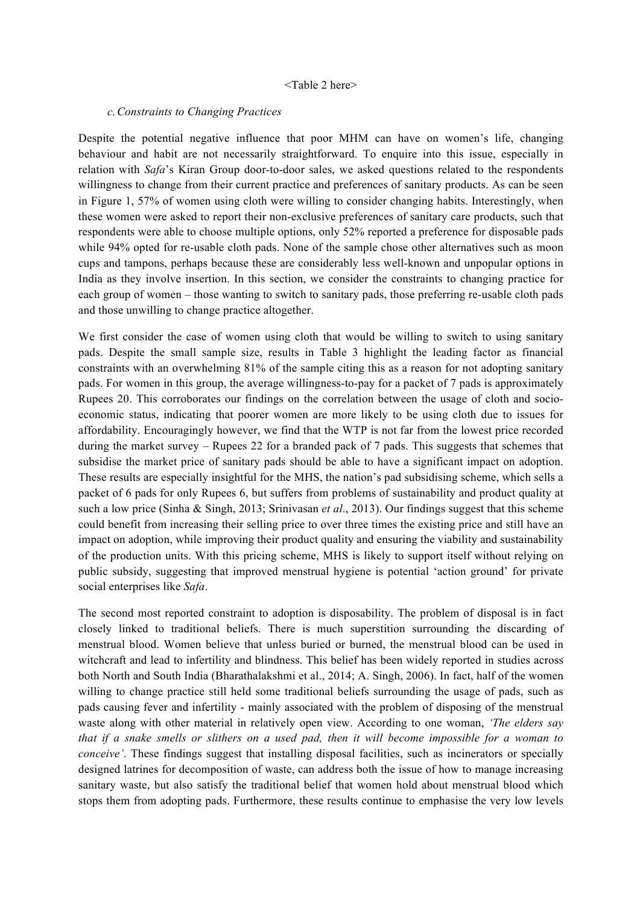#### *c.Constraints to Changing Practices*

Despite the potential negative influence that poor MHM can have on women's life, changing behaviour and habit are not necessarily straightforward. To enquire into this issue, especially in relation with *Safa*'s Kiran Group door-to-door sales, we asked questions related to the respondents willingness to change from their current practice and preferences of sanitary products. As can be seen in Figure 1, 57% of women using cloth were willing to consider changing habits. Interestingly, when these women were asked to report their non-exclusive preferences of sanitary care products, such that respondents were able to choose multiple options, only 52% reported a preference for disposable pads while 94% opted for re-usable cloth pads. None of the sample chose other alternatives such as moon cups and tampons, perhaps because these are considerably less well-known and unpopular options in India as they involve insertion. In this section, we consider the constraints to changing practice for each group of women – those wanting to switch to sanitary pads, those preferring re-usable cloth pads and those unwilling to change practice altogether.

We first consider the case of women using cloth that would be willing to switch to using sanitary pads. Despite the small sample size, results in Table 3 highlight the leading factor as financial constraints with an overwhelming 81% of the sample citing this as a reason for not adopting sanitary pads. For women in this group, the average willingness-to-pay for a packet of 7 pads is approximately Rupees 20. This corroborates our findings on the correlation between the usage of cloth and socioeconomic status, indicating that poorer women are more likely to be using cloth due to issues for affordability. Encouragingly however, we find that the WTP is not far from the lowest price recorded during the market survey – Rupees 22 for a branded pack of 7 pads. This suggests that schemes that subsidise the market price of sanitary pads should be able to have a significant impact on adoption. These results are especially insightful for the MHS, the nation's pad subsidising scheme, which sells a packet of 6 pads for only Rupees 6, but suffers from problems of sustainability and product quality at such a low price (Sinha & Singh, 2013; Srinivasan *et al*., 2013). Our findings suggest that this scheme could benefit from increasing their selling price to over three times the existing price and still have an impact on adoption, while improving their product quality and ensuring the viability and sustainability of the production units. With this pricing scheme, MHS is likely to support itself without relying on public subsidy, suggesting that improved menstrual hygiene is potential 'action ground' for private social enterprises like *Safa*.

The second most reported constraint to adoption is disposability. The problem of disposal is in fact closely linked to traditional beliefs. There is much superstition surrounding the discarding of menstrual blood. Women believe that unless buried or burned, the menstrual blood can be used in witchcraft and lead to infertility and blindness. This belief has been widely reported in studies across both North and South India (Bharathalakshmi et al., 2014; A. Singh, 2006). In fact, half of the women willing to change practice still held some traditional beliefs surrounding the usage of pads, such as pads causing fever and infertility - mainly associated with the problem of disposing of the menstrual waste along with other material in relatively open view. According to one woman, *'The elders say that if a snake smells or slithers on a used pad, then it will become impossible for a woman to conceive'*. These findings suggest that installing disposal facilities, such as incinerators or specially designed latrines for decomposition of waste, can address both the issue of how to manage increasing sanitary waste, but also satisfy the traditional belief that women hold about menstrual blood which stops them from adopting pads. Furthermore, these results continue to emphasise the very low levels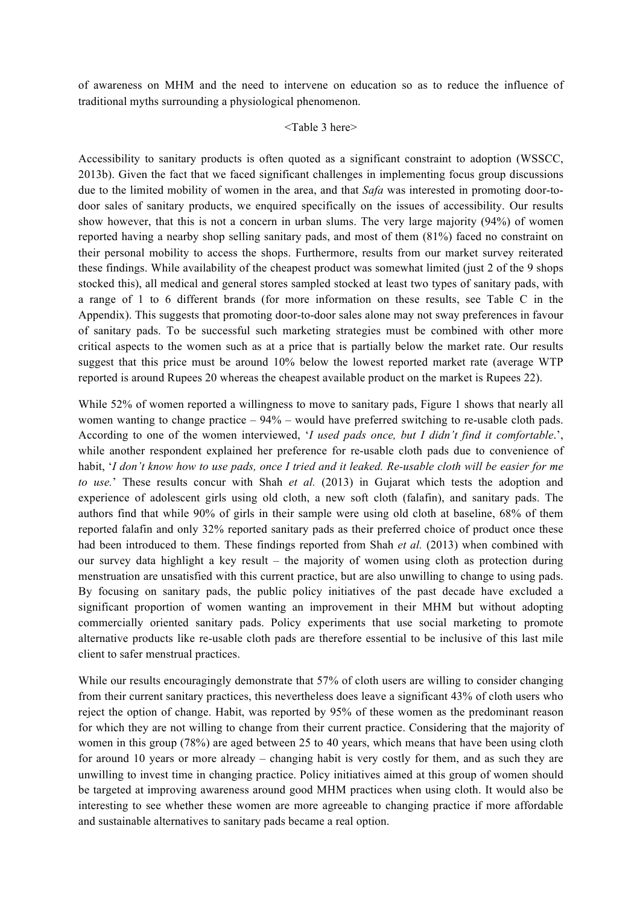of awareness on MHM and the need to intervene on education so as to reduce the influence of traditional myths surrounding a physiological phenomenon.

#### <Table 3 here>

Accessibility to sanitary products is often quoted as a significant constraint to adoption (WSSCC, 2013b). Given the fact that we faced significant challenges in implementing focus group discussions due to the limited mobility of women in the area, and that *Safa* was interested in promoting door-todoor sales of sanitary products, we enquired specifically on the issues of accessibility. Our results show however, that this is not a concern in urban slums. The very large majority (94%) of women reported having a nearby shop selling sanitary pads, and most of them (81%) faced no constraint on their personal mobility to access the shops. Furthermore, results from our market survey reiterated these findings. While availability of the cheapest product was somewhat limited (just 2 of the 9 shops stocked this), all medical and general stores sampled stocked at least two types of sanitary pads, with a range of 1 to 6 different brands (for more information on these results, see Table C in the Appendix). This suggests that promoting door-to-door sales alone may not sway preferences in favour of sanitary pads. To be successful such marketing strategies must be combined with other more critical aspects to the women such as at a price that is partially below the market rate. Our results suggest that this price must be around 10% below the lowest reported market rate (average WTP reported is around Rupees 20 whereas the cheapest available product on the market is Rupees 22).

While 52% of women reported a willingness to move to sanitary pads, Figure 1 shows that nearly all women wanting to change practice – 94% – would have preferred switching to re-usable cloth pads. According to one of the women interviewed, '*I used pads once, but I didn't find it comfortable*.', while another respondent explained her preference for re-usable cloth pads due to convenience of habit, '*I don't know how to use pads, once I tried and it leaked. Re-usable cloth will be easier for me to use.*' These results concur with Shah *et al.* (2013) in Gujarat which tests the adoption and experience of adolescent girls using old cloth, a new soft cloth (falafin), and sanitary pads. The authors find that while 90% of girls in their sample were using old cloth at baseline, 68% of them reported falafin and only 32% reported sanitary pads as their preferred choice of product once these had been introduced to them. These findings reported from Shah *et al.* (2013) when combined with our survey data highlight a key result – the majority of women using cloth as protection during menstruation are unsatisfied with this current practice, but are also unwilling to change to using pads. By focusing on sanitary pads, the public policy initiatives of the past decade have excluded a significant proportion of women wanting an improvement in their MHM but without adopting commercially oriented sanitary pads. Policy experiments that use social marketing to promote alternative products like re-usable cloth pads are therefore essential to be inclusive of this last mile client to safer menstrual practices.

While our results encouragingly demonstrate that 57% of cloth users are willing to consider changing from their current sanitary practices, this nevertheless does leave a significant 43% of cloth users who reject the option of change. Habit, was reported by 95% of these women as the predominant reason for which they are not willing to change from their current practice. Considering that the majority of women in this group (78%) are aged between 25 to 40 years, which means that have been using cloth for around 10 years or more already – changing habit is very costly for them, and as such they are unwilling to invest time in changing practice. Policy initiatives aimed at this group of women should be targeted at improving awareness around good MHM practices when using cloth. It would also be interesting to see whether these women are more agreeable to changing practice if more affordable and sustainable alternatives to sanitary pads became a real option.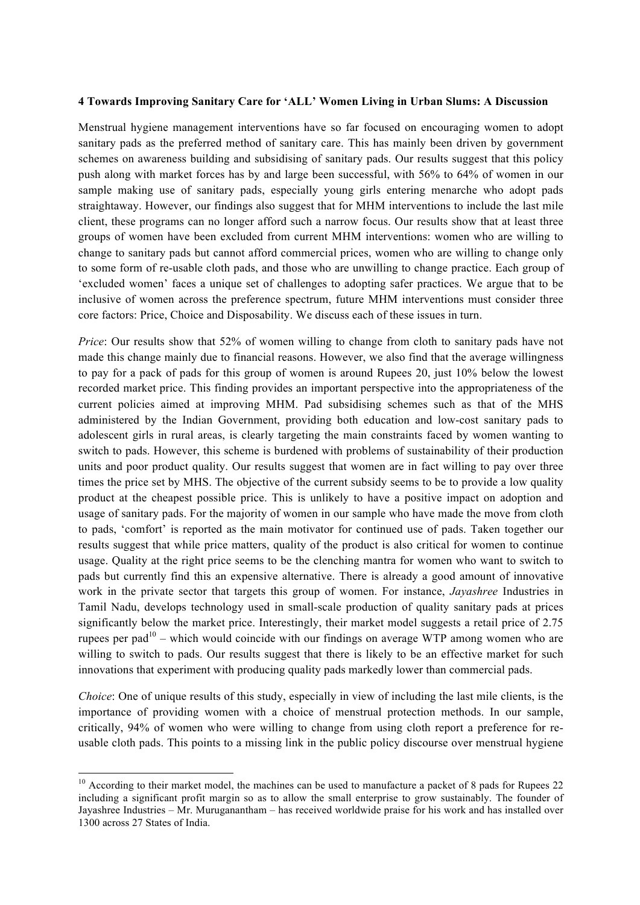#### **4 Towards Improving Sanitary Care for 'ALL' Women Living in Urban Slums: A Discussion**

Menstrual hygiene management interventions have so far focused on encouraging women to adopt sanitary pads as the preferred method of sanitary care. This has mainly been driven by government schemes on awareness building and subsidising of sanitary pads. Our results suggest that this policy push along with market forces has by and large been successful, with 56% to 64% of women in our sample making use of sanitary pads, especially young girls entering menarche who adopt pads straightaway. However, our findings also suggest that for MHM interventions to include the last mile client, these programs can no longer afford such a narrow focus. Our results show that at least three groups of women have been excluded from current MHM interventions: women who are willing to change to sanitary pads but cannot afford commercial prices, women who are willing to change only to some form of re-usable cloth pads, and those who are unwilling to change practice. Each group of 'excluded women' faces a unique set of challenges to adopting safer practices. We argue that to be inclusive of women across the preference spectrum, future MHM interventions must consider three core factors: Price, Choice and Disposability. We discuss each of these issues in turn.

*Price*: Our results show that 52% of women willing to change from cloth to sanitary pads have not made this change mainly due to financial reasons. However, we also find that the average willingness to pay for a pack of pads for this group of women is around Rupees 20, just 10% below the lowest recorded market price. This finding provides an important perspective into the appropriateness of the current policies aimed at improving MHM. Pad subsidising schemes such as that of the MHS administered by the Indian Government, providing both education and low-cost sanitary pads to adolescent girls in rural areas, is clearly targeting the main constraints faced by women wanting to switch to pads. However, this scheme is burdened with problems of sustainability of their production units and poor product quality. Our results suggest that women are in fact willing to pay over three times the price set by MHS. The objective of the current subsidy seems to be to provide a low quality product at the cheapest possible price. This is unlikely to have a positive impact on adoption and usage of sanitary pads. For the majority of women in our sample who have made the move from cloth to pads, 'comfort' is reported as the main motivator for continued use of pads. Taken together our results suggest that while price matters, quality of the product is also critical for women to continue usage. Quality at the right price seems to be the clenching mantra for women who want to switch to pads but currently find this an expensive alternative. There is already a good amount of innovative work in the private sector that targets this group of women. For instance, *Jayashree* Industries in Tamil Nadu, develops technology used in small-scale production of quality sanitary pads at prices significantly below the market price. Interestingly, their market model suggests a retail price of 2.75 rupees per pad<sup>10</sup> – which would coincide with our findings on average WTP among women who are willing to switch to pads. Our results suggest that there is likely to be an effective market for such innovations that experiment with producing quality pads markedly lower than commercial pads.

*Choice*: One of unique results of this study, especially in view of including the last mile clients, is the importance of providing women with a choice of menstrual protection methods. In our sample, critically, 94% of women who were willing to change from using cloth report a preference for reusable cloth pads. This points to a missing link in the public policy discourse over menstrual hygiene

<u> 1989 - Johann Stein, fransk politiker (d. 1989)</u>

 $10$  According to their market model, the machines can be used to manufacture a packet of 8 pads for Rupees 22 including a significant profit margin so as to allow the small enterprise to grow sustainably. The founder of Jayashree Industries – Mr. Muruganantham – has received worldwide praise for his work and has installed over 1300 across 27 States of India.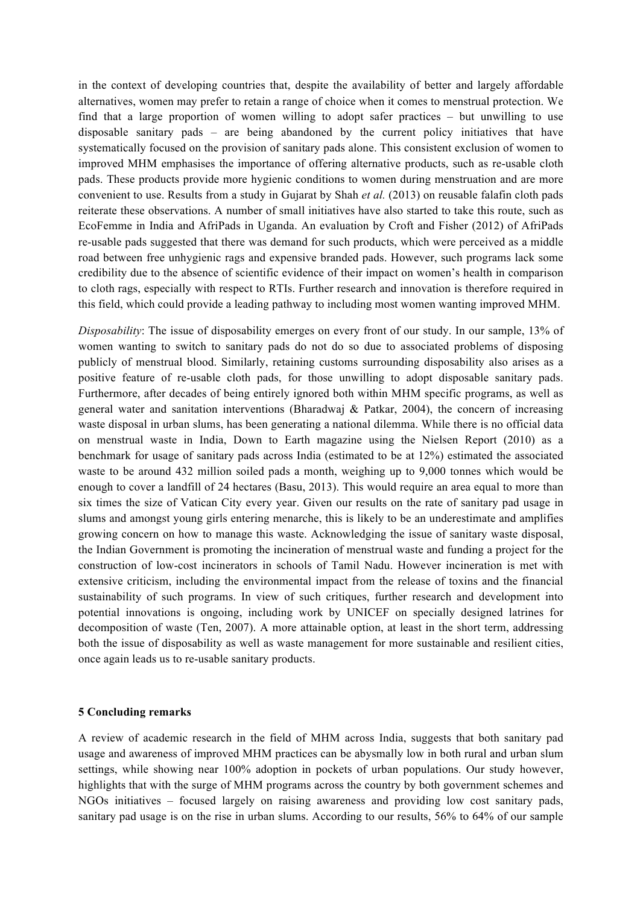in the context of developing countries that, despite the availability of better and largely affordable alternatives, women may prefer to retain a range of choice when it comes to menstrual protection. We find that a large proportion of women willing to adopt safer practices – but unwilling to use disposable sanitary pads – are being abandoned by the current policy initiatives that have systematically focused on the provision of sanitary pads alone. This consistent exclusion of women to improved MHM emphasises the importance of offering alternative products, such as re-usable cloth pads. These products provide more hygienic conditions to women during menstruation and are more convenient to use. Results from a study in Gujarat by Shah *et al.* (2013) on reusable falafin cloth pads reiterate these observations. A number of small initiatives have also started to take this route, such as EcoFemme in India and AfriPads in Uganda. An evaluation by Croft and Fisher (2012) of AfriPads re-usable pads suggested that there was demand for such products, which were perceived as a middle road between free unhygienic rags and expensive branded pads. However, such programs lack some credibility due to the absence of scientific evidence of their impact on women's health in comparison to cloth rags, especially with respect to RTIs. Further research and innovation is therefore required in this field, which could provide a leading pathway to including most women wanting improved MHM.

*Disposability*: The issue of disposability emerges on every front of our study. In our sample, 13% of women wanting to switch to sanitary pads do not do so due to associated problems of disposing publicly of menstrual blood. Similarly, retaining customs surrounding disposability also arises as a positive feature of re-usable cloth pads, for those unwilling to adopt disposable sanitary pads. Furthermore, after decades of being entirely ignored both within MHM specific programs, as well as general water and sanitation interventions (Bharadwaj & Patkar, 2004), the concern of increasing waste disposal in urban slums, has been generating a national dilemma. While there is no official data on menstrual waste in India, Down to Earth magazine using the Nielsen Report (2010) as a benchmark for usage of sanitary pads across India (estimated to be at 12%) estimated the associated waste to be around 432 million soiled pads a month, weighing up to 9,000 tonnes which would be enough to cover a landfill of 24 hectares (Basu, 2013). This would require an area equal to more than six times the size of Vatican City every year. Given our results on the rate of sanitary pad usage in slums and amongst young girls entering menarche, this is likely to be an underestimate and amplifies growing concern on how to manage this waste. Acknowledging the issue of sanitary waste disposal, the Indian Government is promoting the incineration of menstrual waste and funding a project for the construction of low-cost incinerators in schools of Tamil Nadu. However incineration is met with extensive criticism, including the environmental impact from the release of toxins and the financial sustainability of such programs. In view of such critiques, further research and development into potential innovations is ongoing, including work by UNICEF on specially designed latrines for decomposition of waste (Ten, 2007). A more attainable option, at least in the short term, addressing both the issue of disposability as well as waste management for more sustainable and resilient cities, once again leads us to re-usable sanitary products.

## **5 Concluding remarks**

A review of academic research in the field of MHM across India, suggests that both sanitary pad usage and awareness of improved MHM practices can be abysmally low in both rural and urban slum settings, while showing near 100% adoption in pockets of urban populations. Our study however, highlights that with the surge of MHM programs across the country by both government schemes and NGOs initiatives – focused largely on raising awareness and providing low cost sanitary pads, sanitary pad usage is on the rise in urban slums. According to our results, 56% to 64% of our sample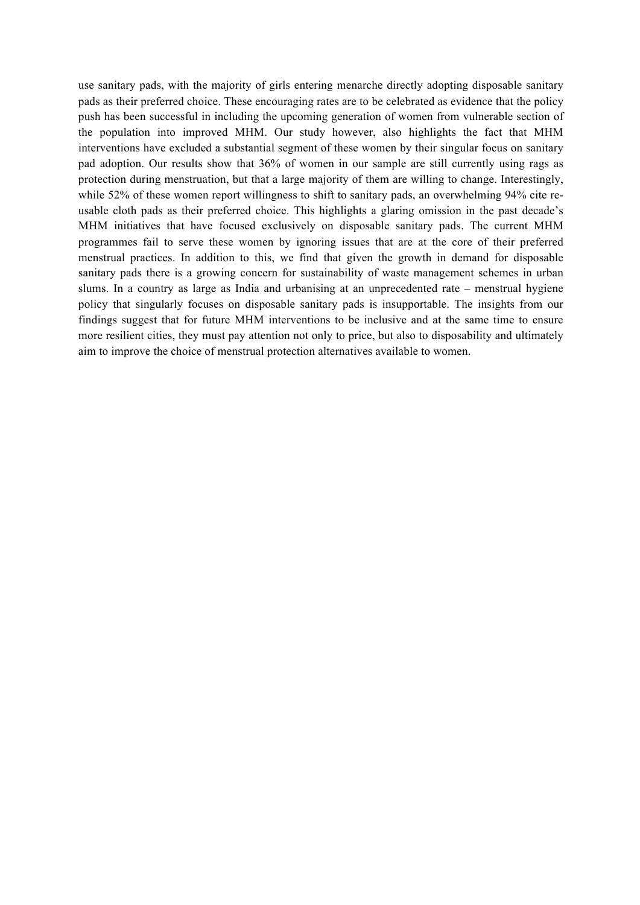use sanitary pads, with the majority of girls entering menarche directly adopting disposable sanitary pads as their preferred choice. These encouraging rates are to be celebrated as evidence that the policy push has been successful in including the upcoming generation of women from vulnerable section of the population into improved MHM. Our study however, also highlights the fact that MHM interventions have excluded a substantial segment of these women by their singular focus on sanitary pad adoption. Our results show that 36% of women in our sample are still currently using rags as protection during menstruation, but that a large majority of them are willing to change. Interestingly, while 52% of these women report willingness to shift to sanitary pads, an overwhelming 94% cite reusable cloth pads as their preferred choice. This highlights a glaring omission in the past decade's MHM initiatives that have focused exclusively on disposable sanitary pads. The current MHM programmes fail to serve these women by ignoring issues that are at the core of their preferred menstrual practices. In addition to this, we find that given the growth in demand for disposable sanitary pads there is a growing concern for sustainability of waste management schemes in urban slums. In a country as large as India and urbanising at an unprecedented rate – menstrual hygiene policy that singularly focuses on disposable sanitary pads is insupportable. The insights from our findings suggest that for future MHM interventions to be inclusive and at the same time to ensure more resilient cities, they must pay attention not only to price, but also to disposability and ultimately aim to improve the choice of menstrual protection alternatives available to women.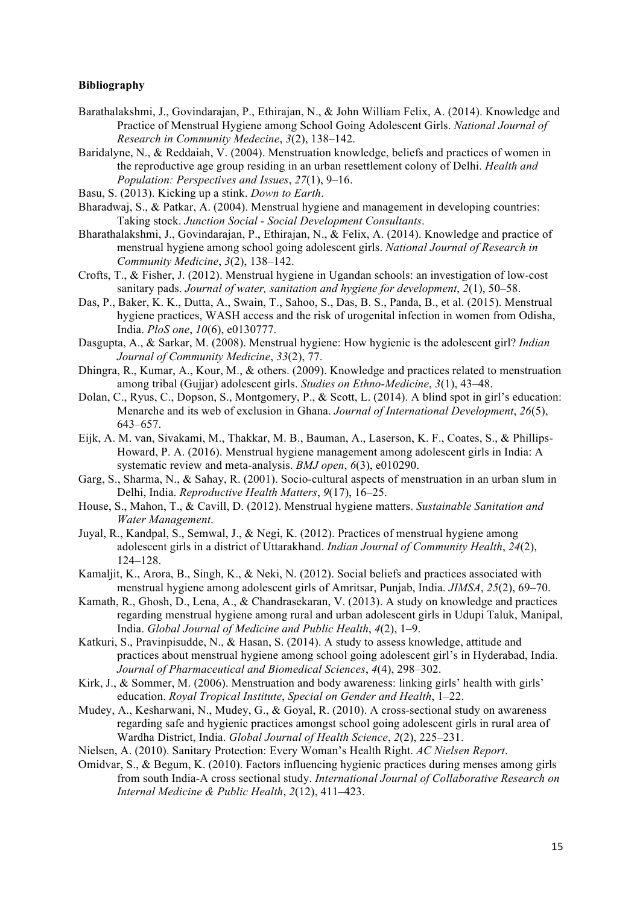#### **Bibliography**

- Barathalakshmi, J., Govindarajan, P., Ethirajan, N., & John William Felix, A. (2014). Knowledge and Practice of Menstrual Hygiene among School Going Adolescent Girls. *National Journal of Research in Community Medecine*, *3*(2), 138–142.
- Baridalyne, N., & Reddaiah, V. (2004). Menstruation knowledge, beliefs and practices of women in the reproductive age group residing in an urban resettlement colony of Delhi. *Health and Population: Perspectives and Issues*, *27*(1), 9–16.
- Basu, S. (2013). Kicking up a stink. *Down to Earth*.
- Bharadwaj, S., & Patkar, A. (2004). Menstrual hygiene and management in developing countries: Taking stock. *Junction Social - Social Development Consultants*.
- Bharathalakshmi, J., Govindarajan, P., Ethirajan, N., & Felix, A. (2014). Knowledge and practice of menstrual hygiene among school going adolescent girls. *National Journal of Research in Community Medicine*, *3*(2), 138–142.
- Crofts, T., & Fisher, J. (2012). Menstrual hygiene in Ugandan schools: an investigation of low-cost sanitary pads. *Journal of water, sanitation and hygiene for development*, *2*(1), 50–58.
- Das, P., Baker, K. K., Dutta, A., Swain, T., Sahoo, S., Das, B. S., Panda, B., et al. (2015). Menstrual hygiene practices, WASH access and the risk of urogenital infection in women from Odisha, India. *PloS one*, *10*(6), e0130777.
- Dasgupta, A., & Sarkar, M. (2008). Menstrual hygiene: How hygienic is the adolescent girl? *Indian Journal of Community Medicine*, *33*(2), 77.
- Dhingra, R., Kumar, A., Kour, M., & others. (2009). Knowledge and practices related to menstruation among tribal (Gujjar) adolescent girls. *Studies on Ethno-Medicine*, *3*(1), 43–48.
- Dolan, C., Ryus, C., Dopson, S., Montgomery, P., & Scott, L. (2014). A blind spot in girl's education: Menarche and its web of exclusion in Ghana. *Journal of International Development*, *26*(5), 643–657.
- Eijk, A. M. van, Sivakami, M., Thakkar, M. B., Bauman, A., Laserson, K. F., Coates, S., & Phillips-Howard, P. A. (2016). Menstrual hygiene management among adolescent girls in India: A systematic review and meta-analysis. *BMJ open*, *6*(3), e010290.
- Garg, S., Sharma, N., & Sahay, R. (2001). Socio-cultural aspects of menstruation in an urban slum in Delhi, India. *Reproductive Health Matters*, *9*(17), 16–25.
- House, S., Mahon, T., & Cavill, D. (2012). Menstrual hygiene matters. *Sustainable Sanitation and Water Management*.
- Juyal, R., Kandpal, S., Semwal, J., & Negi, K. (2012). Practices of menstrual hygiene among adolescent girls in a district of Uttarakhand. *Indian Journal of Community Health*, *24*(2), 124–128.
- Kamaljit, K., Arora, B., Singh, K., & Neki, N. (2012). Social beliefs and practices associated with menstrual hygiene among adolescent girls of Amritsar, Punjab, India. *JIMSA*, *25*(2), 69–70.
- Kamath, R., Ghosh, D., Lena, A., & Chandrasekaran, V. (2013). A study on knowledge and practices regarding menstrual hygiene among rural and urban adolescent girls in Udupi Taluk, Manipal, India. *Global Journal of Medicine and Public Health*, *4*(2), 1–9.
- Katkuri, S., Pravinpisudde, N., & Hasan, S. (2014). A study to assess knowledge, attitude and practices about menstrual hygiene among school going adolescent girl's in Hyderabad, India. *Journal of Pharmaceutical and Biomedical Sciences*, *4*(4), 298–302.
- Kirk, J., & Sommer, M. (2006). Menstruation and body awareness: linking girls' health with girls' education. *Royal Tropical Institute*, *Special on Gender and Health*, 1–22.
- Mudey, A., Kesharwani, N., Mudey, G., & Goyal, R. (2010). A cross-sectional study on awareness regarding safe and hygienic practices amongst school going adolescent girls in rural area of Wardha District, India. *Global Journal of Health Science*, *2*(2), 225–231.
- Nielsen, A. (2010). Sanitary Protection: Every Woman's Health Right. *AC Nielsen Report*.
- Omidvar, S., & Begum, K. (2010). Factors influencing hygienic practices during menses among girls from south India-A cross sectional study. *International Journal of Collaborative Research on Internal Medicine & Public Health*, *2*(12), 411–423.